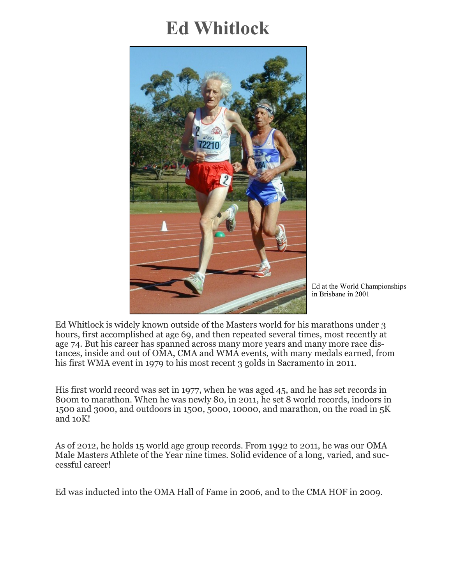# **Ed Whitlock**



Ed at the World Championships in Brisbane in 2001

Ed Whitlock is widely known outside of the Masters world for his marathons under 3 hours, first accomplished at age 69, and then repeated several times, most recently at age 74. But his career has spanned across many more years and many more race distances, inside and out of OMA, CMA and WMA events, with many medals earned, from his first WMA event in 1979 to his most recent 3 golds in Sacramento in 2011.

His first world record was set in 1977, when he was aged 45, and he has set records in 800m to marathon. When he was newly 80, in 2011, he set 8 world records, indoors in 1500 and 3000, and outdoors in 1500, 5000, 10000, and marathon, on the road in 5K and 10K!

As of 2012, he holds 15 world age group records. From 1992 to 2011, he was our OMA Male Masters Athlete of the Year nine times. Solid evidence of a long, varied, and successful career!

Ed was inducted into the OMA Hall of Fame in 2006, and to the CMA HOF in 2009.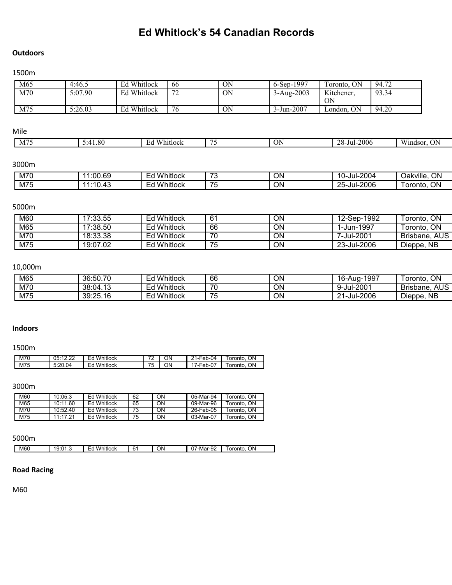# **Ed Whitlock's 54 Canadian Records**

#### **Outdoors**

#### 1500m

| M65          | 4:46.5   | Ed Whitlock                         | 66          | ON        | 6-Sep-1997           | Toronto, ON      | 94.72        |
|--------------|----------|-------------------------------------|-------------|-----------|----------------------|------------------|--------------|
| M70          | 5:07.90  | Ed Whitlock                         | 72          | <b>ON</b> | $3 - Aug-2003$       | Kitchener,<br>ON | 93.34        |
| M75          | 5:26.03  | Ed Whitlock                         | 76          | ON        | 3-Jun-2007           | London, ON       | 94.20        |
|              |          |                                     |             |           |                      |                  |              |
| Mile         |          |                                     |             |           |                      |                  |              |
| M75          | 5:41.80  | Ed Whitlock                         |             | 75        | <b>ON</b>            | 28-Jul-2006      | Windsor, ON  |
| 3000m        |          |                                     |             |           |                      |                  |              |
| M70          | 11:00.69 |                                     | Ed Whitlock | 73        | ON                   | 10-Jul-2004      | Oakville, ON |
| M75          | 11:10.43 |                                     | Ed Whitlock | 75        | $\overline{ON}$      | 25-Jul-2006      | Toronto, ON  |
| 5000m        |          |                                     |             |           |                      |                  |              |
| $\sqrt{100}$ | 47.00.55 | $\mathbf{F}$ of a state for a state |             | $\sim$    | $\sim$ $\sim$ $\sim$ | $\sqrt{2}$       | $T = 11.0$   |

| M60 | 17:33.55 | ' Whitlock<br>Ed   | 61 | ΟN | 12-Sep-1992 | ON<br>⊺oronto.       |
|-----|----------|--------------------|----|----|-------------|----------------------|
| M65 | 17:38.50 | <b>Ed Whitlock</b> | 66 | ON | i-Jun-1997  | ON<br>™oronto.       |
| M70 | 18:33.38 | Ed Whitlock        | 70 | ON | 7-Jul-2001  | AUS<br>Brisbane.     |
| M75 | 19:07.02 | l Whitlock<br>Ed   | 75 | ON | 23-Jul-2006 | <b>NB</b><br>Dieppe, |

# 10,000m

| M65 | 36:50.70 | Whitlock<br>ᄃᆏ<br>⊏u  | 66       | ΟN | -1997<br>16<br>, o-Auq-1′    | ON<br>oronto.    |
|-----|----------|-----------------------|----------|----|------------------------------|------------------|
| M70 | 38:04.13 | Whitlock<br>ᇊ<br>⊏u   | 70       | ΟN | 9-Jul-2001                   | AUS<br>Brisbane. |
| M75 | 39:25.16 | Whitlock<br>ี่~<br>⊏u | 75<br>ັບ | ΟN | 1-Jul-2006<br>ີາ<br>$\sim$ . | Dieppe, NB       |

#### **Indoors**

#### 1500m

| M70 | $\sim$<br>∩斥∙1つ<br>uJ.<br>. | Whitlock<br>_<br>۳ά<br>-~ | $\sim$      | ΟN | l-Feb-04<br>ີ<br>_              | ΟN<br>oronto. |
|-----|-----------------------------|---------------------------|-------------|----|---------------------------------|---------------|
| M75 | 5:20.04                     | Whitlock<br>۳ά            | --<br><br>ື | ОN | $\sim$<br><sup>→</sup> /-Feb-∪. | ΟN<br>oronto  |

3000m

| M60 | 10:05.3  | <b>Ed Whitlock</b> | 62 | ΟN | 05-Mar-94 | Toronto, ON |
|-----|----------|--------------------|----|----|-----------|-------------|
| M65 | 10:11.60 | <b>Ed Whitlock</b> | 65 | ΟN | 09-Mar-96 | Toronto. ON |
| M70 | 10:52.40 | <b>Ed Whitlock</b> | 73 | ΟN | 26-Feb-05 | Toronto, ON |
| M75 | 11:17.21 | <b>Ed Whitlock</b> | 75 | ΟN | 03-Mar-07 | Toronto, ON |

### 5000m

| -<br>$\mathbf{u}$<br>$\sim$<br>$\sim$<br>$\sim$<br>10.04<br>״<br>-<br>. .<br>. . |     |              |    |                                         |                    |
|----------------------------------------------------------------------------------|-----|--------------|----|-----------------------------------------|--------------------|
| <br>$\sim$<br>$\cdot$ $\circ$                                                    | M60 | w<br>hitlock | NΩ | -Mər<br>.<br>ıaı<br>−ວ∠<br>$\mathbf{u}$ | OΝ<br>oronto<br>or |

# **Road Racing**

M60